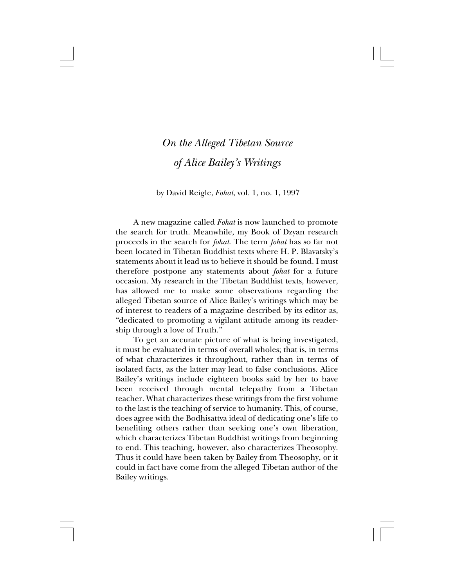## *On the Alleged Tibetan Source of Alice Bailey's Writings*

## by David Reigle, *Fohat*, vol. 1, no. 1, 1997

A new magazine called *Fohat* is now launched to promote the search for truth. Meanwhile, my Book of Dzyan research proceeds in the search for *fohat*. The term *fohat* has so far not been located in Tibetan Buddhist texts where H. P. Blavatsky's statements about it lead us to believe it should be found. I must therefore postpone any statements about *fohat* for a future occasion. My research in the Tibetan Buddhist texts, however, has allowed me to make some observations regarding the alleged Tibetan source of Alice Bailey's writings which may be of interest to readers of a magazine described by its editor as, "dedicated to promoting a vigilant attitude among its readership through a love of Truth."

To get an accurate picture of what is being investigated, it must be evaluated in terms of overall wholes; that is, in terms of what characterizes it throughout, rather than in terms of isolated facts, as the latter may lead to false conclusions. Alice Bailey's writings include eighteen books said by her to have been received through mental telepathy from a Tibetan teacher. What characterizes these writings from the first volume to the last is the teaching of service to humanity. This, of course, does agree with the Bodhisattva ideal of dedicating one's life to benefiting others rather than seeking one's own liberation, which characterizes Tibetan Buddhist writings from beginning to end. This teaching, however, also characterizes Theosophy. Thus it could have been taken by Bailey from Theosophy, or it could in fact have come from the alleged Tibetan author of the Bailey writings.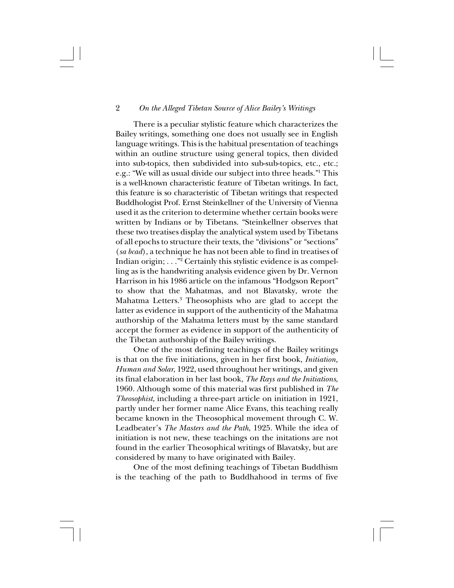2 *On the Alleged Tibetan Source of Alice Bailey's Writings*

There is a peculiar stylistic feature which characterizes the Bailey writings, something one does not usually see in English language writings. This is the habitual presentation of teachings within an outline structure using general topics, then divided into sub-topics, then subdivided into sub-sub-topics, etc., etc.; e.g.: "We will as usual divide our subject into three heads."1 This is a well-known characteristic feature of Tibetan writings. In fact, this feature is so characteristic of Tibetan writings that respected Buddhologist Prof. Ernst Steinkellner of the University of Vienna used it as the criterion to determine whether certain books were written by Indians or by Tibetans. "Steinkellner observes that these two treatises display the analytical system used by Tibetans of all epochs to structure their texts, the "divisions" or "sections" (*sa bcad*), a technique he has not been able to find in treatises of Indian origin; . . ."2 Certainly this stylistic evidence is as compelling as is the handwriting analysis evidence given by Dr. Vernon Harrison in his 1986 article on the infamous "Hodgson Report" to show that the Mahatmas, and not Blavatsky, wrote the Mahatma Letters.3 Theosophists who are glad to accept the latter as evidence in support of the authenticity of the Mahatma authorship of the Mahatma letters must by the same standard accept the former as evidence in support of the authenticity of the Tibetan authorship of the Bailey writings.

One of the most defining teachings of the Bailey writings is that on the five initiations, given in her first book, *Initiation, Human and Solar*, 1922, used throughout her writings, and given its final elaboration in her last book, *The Rays and the Initiations*, 1960. Although some of this material was first published in *The Theosophist*, including a three-part article on initiation in 1921, partly under her former name Alice Evans, this teaching really became known in the Theosophical movement through C. W. Leadbeater's *The Masters and the Path*, 1925. While the idea of initiation is not new, these teachings on the initations are not found in the earlier Theosophical writings of Blavatsky, but are considered by many to have originated with Bailey.

One of the most defining teachings of Tibetan Buddhism is the teaching of the path to Buddhahood in terms of five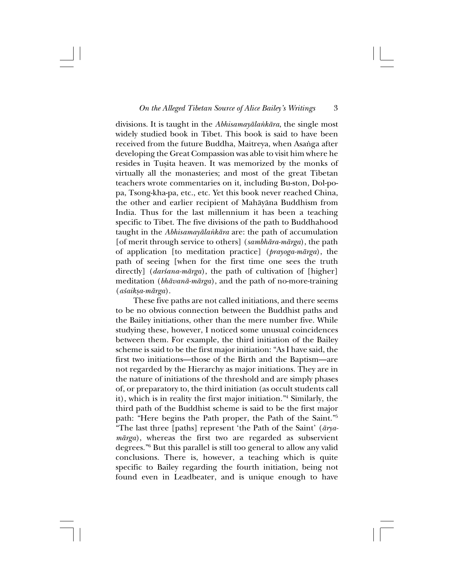divisions. It is taught in the *Abhisamayåla∫kåra*, the single most widely studied book in Tibet. This book is said to have been received from the future Buddha, Maitreya, when Asanga after developing the Great Compassion was able to visit him where he resides in Tußita heaven. It was memorized by the monks of virtually all the monasteries; and most of the great Tibetan teachers wrote commentaries on it, including Bu-ston, Dol-popa, Tsong-kha-pa, etc., etc. Yet this book never reached China, the other and earlier recipient of Mahåyåna Buddhism from India. Thus for the last millennium it has been a teaching specific to Tibet. The five divisions of the path to Buddhahood taught in the *Abhisamayåla∫kåra* are: the path of accumulation [of merit through service to others] (*sambhåra-mårga*), the path of application [to meditation practice] (*prayoga-mårga*), the path of seeing [when for the first time one sees the truth directly] (*darśana-mārga*), the path of cultivation of [higher] meditation (*bhåvanå-mårga*), and the path of no-more-training (*a≈aikßa-mårga*).

These five paths are not called initiations, and there seems to be no obvious connection between the Buddhist paths and the Bailey initiations, other than the mere number five. While studying these, however, I noticed some unusual coincidences between them. For example, the third initiation of the Bailey scheme is said to be the first major initiation: "As I have said, the first two initiations—those of the Birth and the Baptism—are not regarded by the Hierarchy as major initiations. They are in the nature of initiations of the threshold and are simply phases of, or preparatory to, the third initiation (as occult students call it), which is in reality the first major initiation."4 Similarly, the third path of the Buddhist scheme is said to be the first major path: "Here begins the Path proper, the Path of the Saint."5 "The last three [paths] represent 'the Path of the Saint' (*åryamårga*), whereas the first two are regarded as subservient degrees."6 But this parallel is still too general to allow any valid conclusions. There is, however, a teaching which is quite specific to Bailey regarding the fourth initiation, being not found even in Leadbeater, and is unique enough to have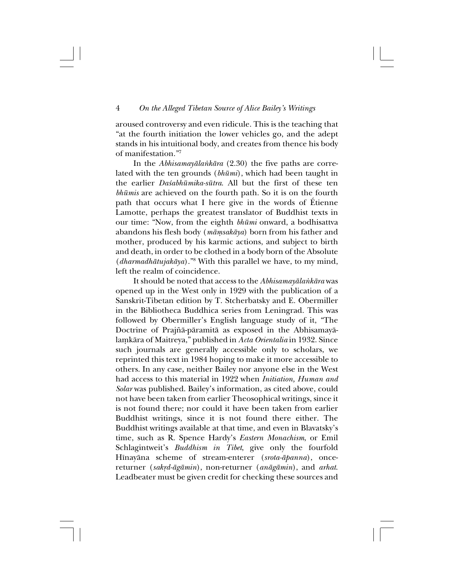aroused controversy and even ridicule. This is the teaching that "at the fourth initiation the lower vehicles go, and the adept stands in his intuitional body, and creates from thence his body of manifestation."7

In the *Abhisamayåla∫kåra* (2.30) the five paths are correlated with the ten grounds (*bhümi*), which had been taught in the earlier *Da≈abhümika-sütra*. All but the first of these ten *bhümis* are achieved on the fourth path. So it is on the fourth path that occurs what I here give in the words of Étienne Lamotte, perhaps the greatest translator of Buddhist texts in our time: "Now, from the eighth *bhümi* onward, a bodhisattva abandons his flesh body (*måµsakåya*) born from his father and mother, produced by his karmic actions, and subject to birth and death, in order to be clothed in a body born of the Absolute (*dharmadhåtujakåya*)."8 With this parallel we have, to my mind, left the realm of coincidence.

It should be noted that access to the *Abhisamayåla∫kåra* was opened up in the West only in 1929 with the publication of a Sanskrit-Tibetan edition by T. Stcherbatsky and E. Obermiller in the Bibliotheca Buddhica series from Leningrad. This was followed by Obermiller's English language study of it, "The Doctrine of Prajñā-pāramitā as exposed in the Abhisamayālamkāra of Maitreya," published in *Acta Orientalia* in 1932. Since such journals are generally accessible only to scholars, we reprinted this text in 1984 hoping to make it more accessible to others. In any case, neither Bailey nor anyone else in the West had access to this material in 1922 when *Initiation, Human and Solar* was published. Bailey's information, as cited above, could not have been taken from earlier Theosophical writings, since it is not found there; nor could it have been taken from earlier Buddhist writings, since it is not found there either. The Buddhist writings available at that time, and even in Blavatsky's time, such as R. Spence Hardy's *Eastern Monachism*, or Emil Schlagintweit's *Buddhism in Tibet*, give only the fourfold Hînayåna scheme of stream-enterer (*srota-åpanna*), oncereturner (sakrd-āgāmin), non-returner (anāgāmin), and arhat. Leadbeater must be given credit for checking these sources and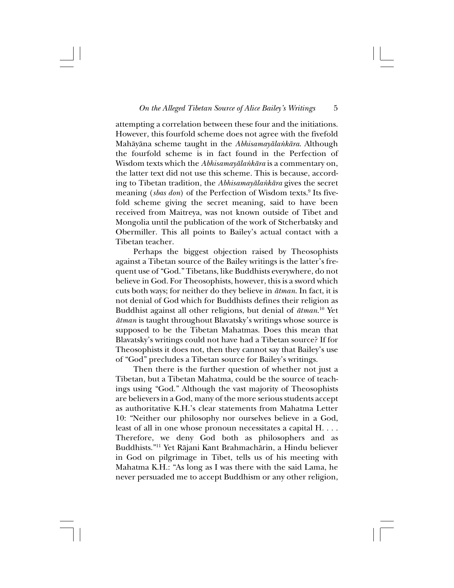attempting a correlation between these four and the initiations. However, this fourfold scheme does not agree with the fivefold Mahåyåna scheme taught in the *Abhisamayåla∫kåra*. Although the fourfold scheme is in fact found in the Perfection of Wisdom texts which the *Abhisamayåla∫kåra* is a commentary on, the latter text did not use this scheme. This is because, according to Tibetan tradition, the *Abhisamayåla∫kåra* gives the secret meaning (*sbas don*) of the Perfection of Wisdom texts.<sup>9</sup> Its fivefold scheme giving the secret meaning, said to have been received from Maitreya, was not known outside of Tibet and Mongolia until the publication of the work of Stcherbatsky and Obermiller. This all points to Bailey's actual contact with a Tibetan teacher.

Perhaps the biggest objection raised by Theosophists against a Tibetan source of the Bailey writings is the latter's frequent use of "God." Tibetans, like Buddhists everywhere, do not believe in God. For Theosophists, however, this is a sword which cuts both ways; for neither do they believe in *åtman*. In fact, it is not denial of God which for Buddhists defines their religion as Buddhist against all other religions, but denial of *åtman*. 10 Yet *åtman* is taught throughout Blavatsky's writings whose source is supposed to be the Tibetan Mahatmas. Does this mean that Blavatsky's writings could not have had a Tibetan source? If for Theosophists it does not, then they cannot say that Bailey's use of "God" precludes a Tibetan source for Bailey's writings.

Then there is the further question of whether not just a Tibetan, but a Tibetan Mahatma, could be the source of teachings using "God." Although the vast majority of Theosophists are believers in a God, many of the more serious students accept as authoritative K.H.'s clear statements from Mahatma Letter 10: "Neither our philosophy nor ourselves believe in a God, least of all in one whose pronoun necessitates a capital H. . . . Therefore, we deny God both as philosophers and as Buddhists."11 Yet Råjani Kant Brahmachårin, a Hindu believer in God on pilgrimage in Tibet, tells us of his meeting with Mahatma K.H.: "As long as I was there with the said Lama, he never persuaded me to accept Buddhism or any other religion,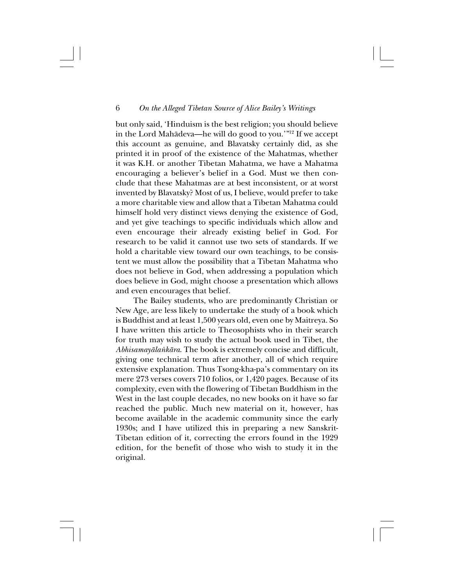but only said, 'Hinduism is the best religion; you should believe in the Lord Mahådeva—he will do good to you.'"12 If we accept this account as genuine, and Blavatsky certainly did, as she printed it in proof of the existence of the Mahatmas, whether it was K.H. or another Tibetan Mahatma, we have a Mahatma encouraging a believer's belief in a God. Must we then conclude that these Mahatmas are at best inconsistent, or at worst invented by Blavatsky? Most of us, I believe, would prefer to take a more charitable view and allow that a Tibetan Mahatma could himself hold very distinct views denying the existence of God, and yet give teachings to specific individuals which allow and even encourage their already existing belief in God. For research to be valid it cannot use two sets of standards. If we hold a charitable view toward our own teachings, to be consistent we must allow the possibility that a Tibetan Mahatma who does not believe in God, when addressing a population which does believe in God, might choose a presentation which allows and even encourages that belief.

The Bailey students, who are predominantly Christian or New Age, are less likely to undertake the study of a book which is Buddhist and at least 1,500 years old, even one by Maitreya. So I have written this article to Theosophists who in their search for truth may wish to study the actual book used in Tibet, the *Abhisamayåla∫kåra*. The book is extremely concise and difficult, giving one technical term after another, all of which require extensive explanation. Thus Tsong-kha-pa's commentary on its mere 273 verses covers 710 folios, or 1,420 pages. Because of its complexity, even with the flowering of Tibetan Buddhism in the West in the last couple decades, no new books on it have so far reached the public. Much new material on it, however, has become available in the academic community since the early 1930s; and I have utilized this in preparing a new Sanskrit-Tibetan edition of it, correcting the errors found in the 1929 edition, for the benefit of those who wish to study it in the original.